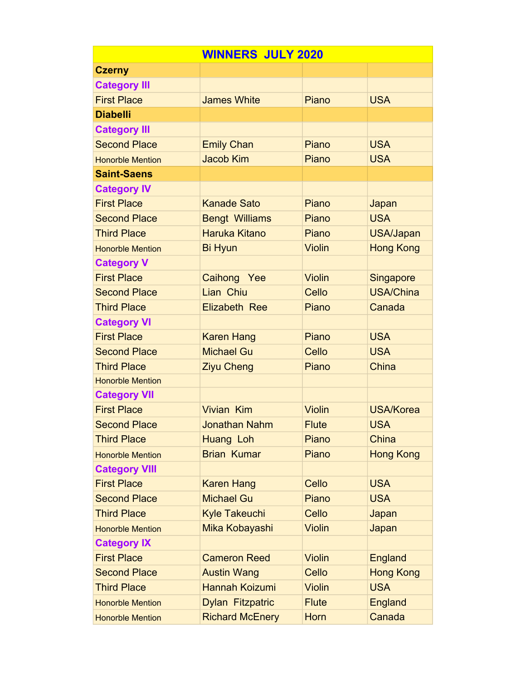| <b>WINNERS JULY 2020</b> |                         |               |                  |
|--------------------------|-------------------------|---------------|------------------|
| <b>Czerny</b>            |                         |               |                  |
| <b>Category III</b>      |                         |               |                  |
| <b>First Place</b>       | <b>James White</b>      | Piano         | <b>USA</b>       |
| <b>Diabelli</b>          |                         |               |                  |
| <b>Category III</b>      |                         |               |                  |
| <b>Second Place</b>      | <b>Emily Chan</b>       | Piano         | <b>USA</b>       |
| <b>Honorble Mention</b>  | <b>Jacob Kim</b>        | Piano         | <b>USA</b>       |
| <b>Saint-Saens</b>       |                         |               |                  |
| <b>Category IV</b>       |                         |               |                  |
| <b>First Place</b>       | <b>Kanade Sato</b>      | Piano         | Japan            |
| <b>Second Place</b>      | <b>Bengt Williams</b>   | Piano         | <b>USA</b>       |
| <b>Third Place</b>       | <b>Haruka Kitano</b>    | Piano         | <b>USA/Japan</b> |
| <b>Honorble Mention</b>  | <b>Bi Hyun</b>          | <b>Violin</b> | <b>Hong Kong</b> |
| <b>Category V</b>        |                         |               |                  |
| <b>First Place</b>       | Caihong Yee             | <b>Violin</b> | <b>Singapore</b> |
| <b>Second Place</b>      | Lian Chiu               | Cello         | <b>USA/China</b> |
| <b>Third Place</b>       | <b>Elizabeth Ree</b>    | Piano         | Canada           |
| <b>Category VI</b>       |                         |               |                  |
| <b>First Place</b>       | <b>Karen Hang</b>       | Piano         | <b>USA</b>       |
| <b>Second Place</b>      | <b>Michael Gu</b>       | Cello         | <b>USA</b>       |
| <b>Third Place</b>       | <b>Ziyu Cheng</b>       | Piano         | China            |
| <b>Honorble Mention</b>  |                         |               |                  |
| <b>Category VII</b>      |                         |               |                  |
| <b>First Place</b>       | <b>Vivian Kim</b>       | <b>Violin</b> | <b>USA/Korea</b> |
| <b>Second Place</b>      | <b>Jonathan Nahm</b>    | <b>Flute</b>  | <b>USA</b>       |
| <b>Third Place</b>       | Huang Loh               | Piano         | China            |
| <b>Honorble Mention</b>  | <b>Brian Kumar</b>      | Piano         | <b>Hong Kong</b> |
| <b>Category VIII</b>     |                         |               |                  |
| <b>First Place</b>       | <b>Karen Hang</b>       | Cello         | <b>USA</b>       |
| <b>Second Place</b>      | <b>Michael Gu</b>       | Piano         | <b>USA</b>       |
| <b>Third Place</b>       | <b>Kyle Takeuchi</b>    | Cello         | Japan            |
| <b>Honorble Mention</b>  | Mika Kobayashi          | <b>Violin</b> | Japan            |
| <b>Category IX</b>       |                         |               |                  |
| <b>First Place</b>       | <b>Cameron Reed</b>     | <b>Violin</b> | England          |
| <b>Second Place</b>      | <b>Austin Wang</b>      | Cello         | <b>Hong Kong</b> |
| <b>Third Place</b>       | Hannah Koizumi          | <b>Violin</b> | <b>USA</b>       |
| <b>Honorble Mention</b>  | <b>Dylan Fitzpatric</b> | <b>Flute</b>  | England          |
| <b>Honorble Mention</b>  | <b>Richard McEnery</b>  | Horn          | Canada           |